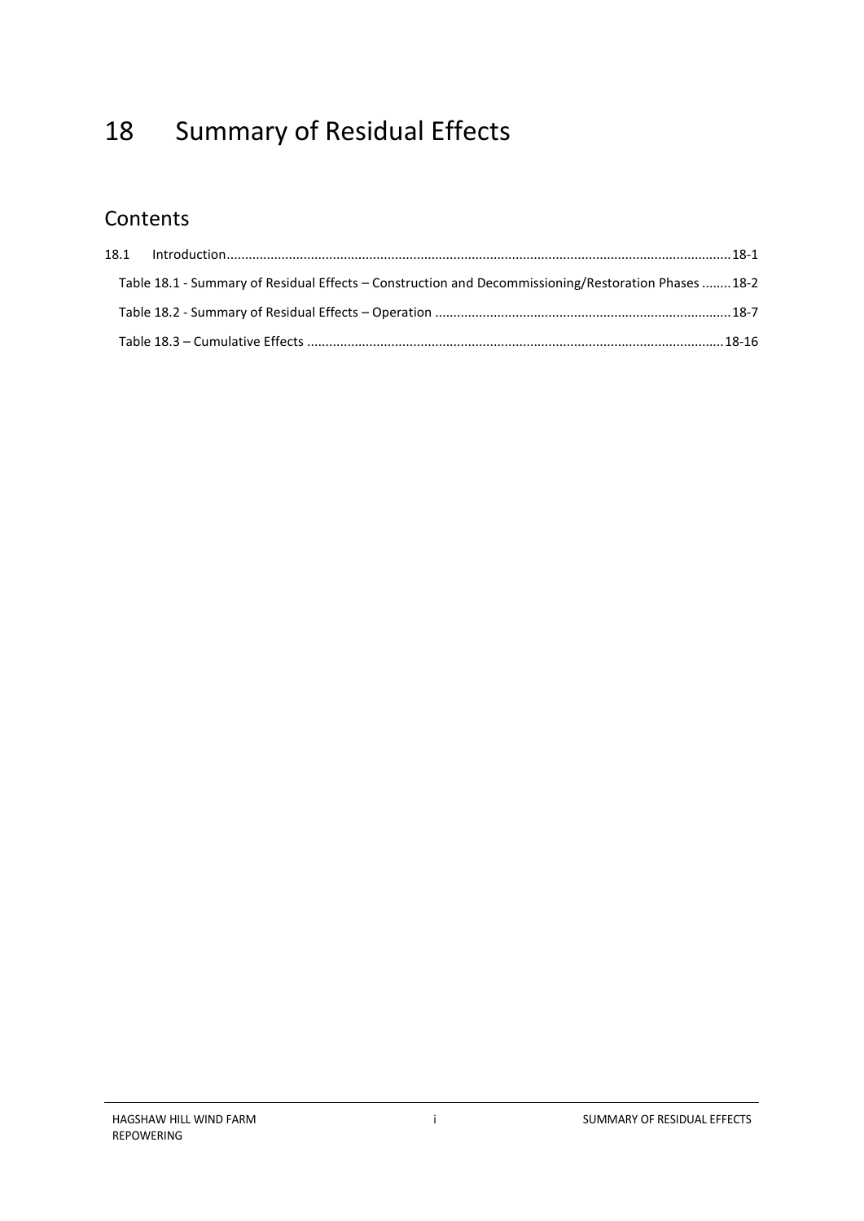# 18 Summary of Residual Effects

## **Contents**

| Table 18.1 - Summary of Residual Effects – Construction and Decommissioning/Restoration Phases 18-2 |  |
|-----------------------------------------------------------------------------------------------------|--|
|                                                                                                     |  |
|                                                                                                     |  |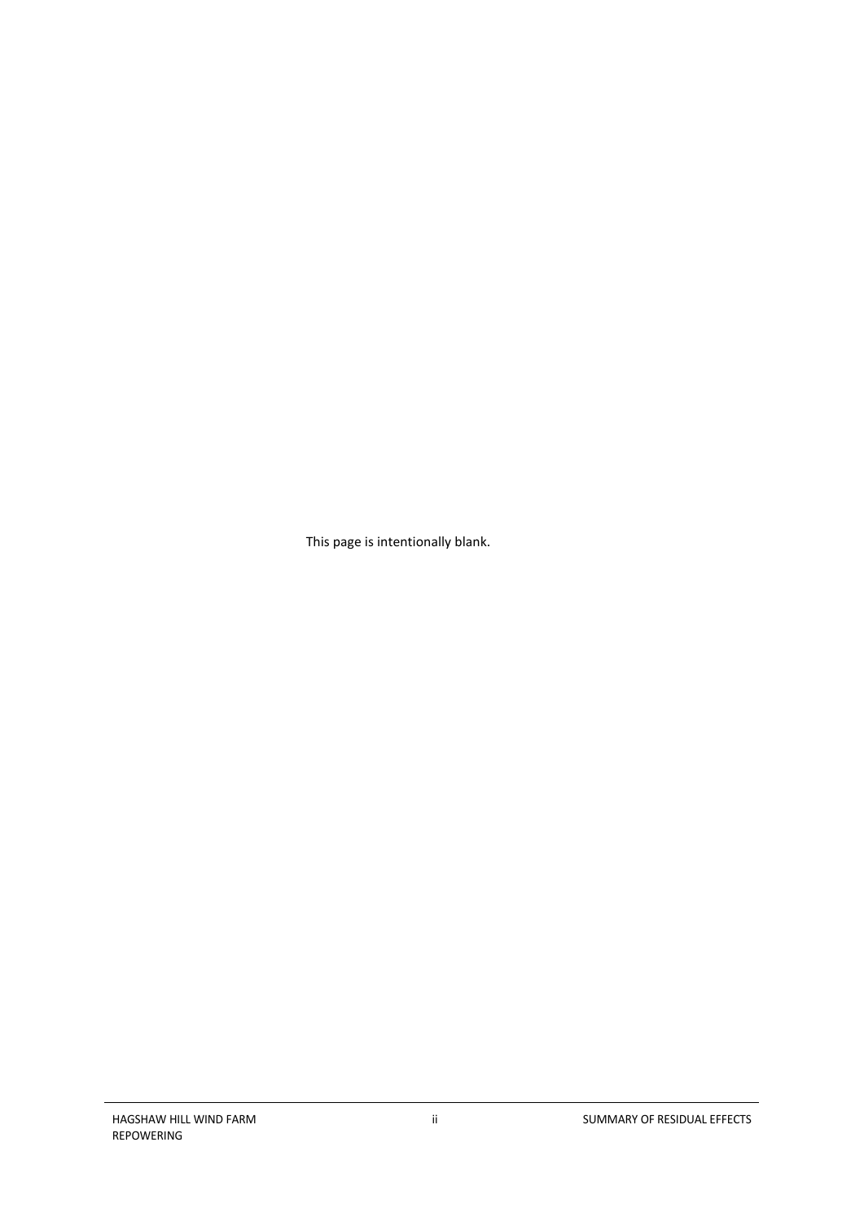This page is intentionally blank.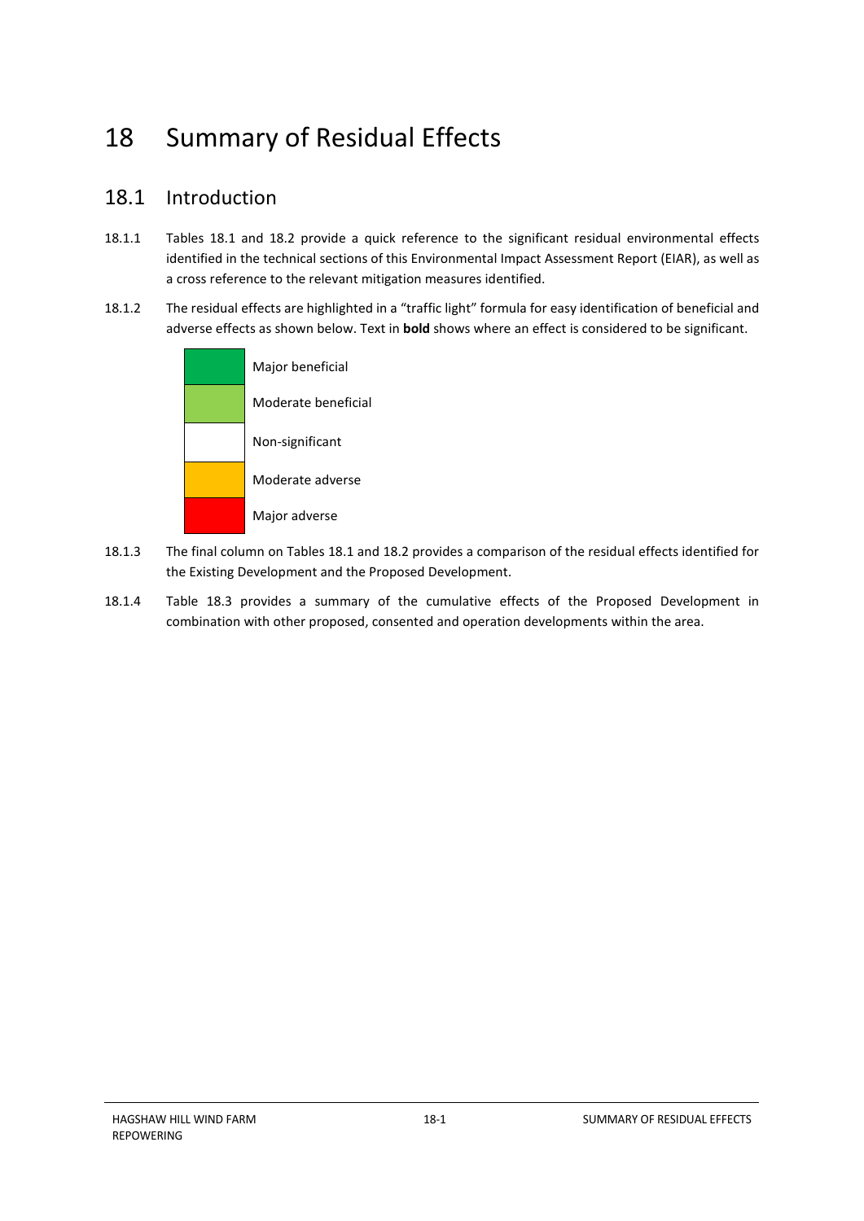## 18 Summary of Residual Effects

## <span id="page-2-0"></span>18.1 Introduction

- 18.1.1 Tables 18.1 and 18.2 provide a quick reference to the significant residual environmental effects identified in the technical sections of this Environmental Impact Assessment Report (EIAR), as well as a cross reference to the relevant mitigation measures identified.
- 18.1.2 The residual effects are highlighted in a "traffic light" formula for easy identification of beneficial and adverse effects as shown below. Text in **bold** shows where an effect is considered to be significant.



- 18.1.3 The final column on Tables 18.1 and 18.2 provides a comparison of the residual effects identified for the Existing Development and the Proposed Development.
- 18.1.4 Table 18.3 provides a summary of the cumulative effects of the Proposed Development in combination with other proposed, consented and operation developments within the area.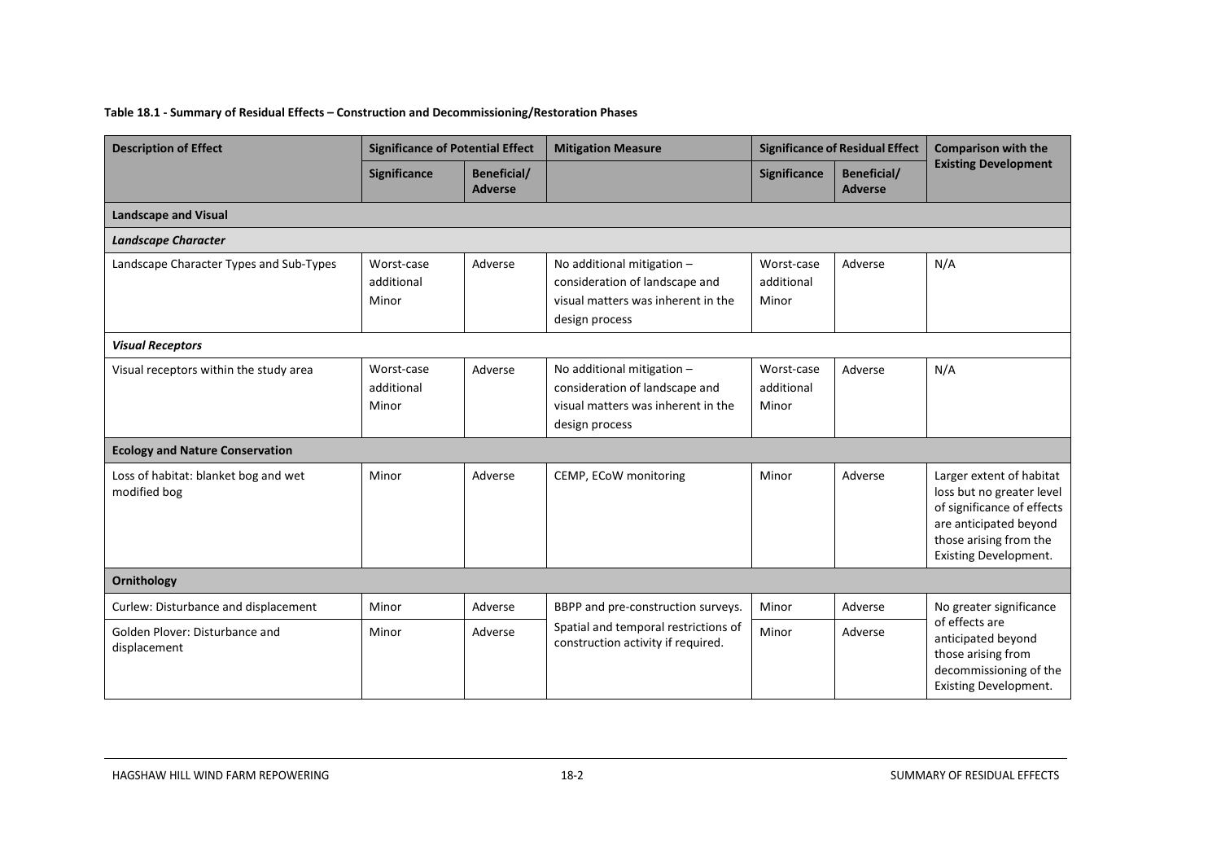### **Table 18.1 - Summary of Residual Effects – Construction and Decommissioning/Restoration Phases**

<span id="page-3-0"></span>

| <b>Description of Effect</b>                         | <b>Significance of Potential Effect</b> |                               | <b>Mitigation Measure</b>                                                                                            | <b>Significance of Residual Effect</b> |                               | <b>Comparison with the</b>                                                                                                                                              |
|------------------------------------------------------|-----------------------------------------|-------------------------------|----------------------------------------------------------------------------------------------------------------------|----------------------------------------|-------------------------------|-------------------------------------------------------------------------------------------------------------------------------------------------------------------------|
|                                                      | Significance                            | Beneficial/<br><b>Adverse</b> |                                                                                                                      | Significance                           | Beneficial/<br><b>Adverse</b> | <b>Existing Development</b>                                                                                                                                             |
| <b>Landscape and Visual</b>                          |                                         |                               |                                                                                                                      |                                        |                               |                                                                                                                                                                         |
| <b>Landscape Character</b>                           |                                         |                               |                                                                                                                      |                                        |                               |                                                                                                                                                                         |
| Landscape Character Types and Sub-Types              | Worst-case<br>additional<br>Minor       | Adverse                       | No additional mitigation -<br>consideration of landscape and<br>visual matters was inherent in the<br>design process | Worst-case<br>additional<br>Minor      | Adverse                       | N/A                                                                                                                                                                     |
| <b>Visual Receptors</b>                              |                                         |                               |                                                                                                                      |                                        |                               |                                                                                                                                                                         |
| Visual receptors within the study area               | Worst-case<br>additional<br>Minor       | Adverse                       | No additional mitigation -<br>consideration of landscape and<br>visual matters was inherent in the<br>design process | Worst-case<br>additional<br>Minor      | Adverse                       | N/A                                                                                                                                                                     |
| <b>Ecology and Nature Conservation</b>               |                                         |                               |                                                                                                                      |                                        |                               |                                                                                                                                                                         |
| Loss of habitat: blanket bog and wet<br>modified bog | Minor                                   | Adverse                       | CEMP, ECoW monitoring                                                                                                | Minor                                  | Adverse                       | Larger extent of habitat<br>loss but no greater level<br>of significance of effects<br>are anticipated beyond<br>those arising from the<br><b>Existing Development.</b> |
| <b>Ornithology</b>                                   |                                         |                               |                                                                                                                      |                                        |                               |                                                                                                                                                                         |
| Curlew: Disturbance and displacement                 | Minor                                   | Adverse                       | BBPP and pre-construction surveys.                                                                                   | Minor                                  | Adverse                       | No greater significance                                                                                                                                                 |
| Golden Plover: Disturbance and<br>displacement       | Minor                                   | Adverse                       | Spatial and temporal restrictions of<br>construction activity if required.                                           | Minor                                  | Adverse                       | of effects are<br>anticipated beyond<br>those arising from<br>decommissioning of the<br><b>Existing Development.</b>                                                    |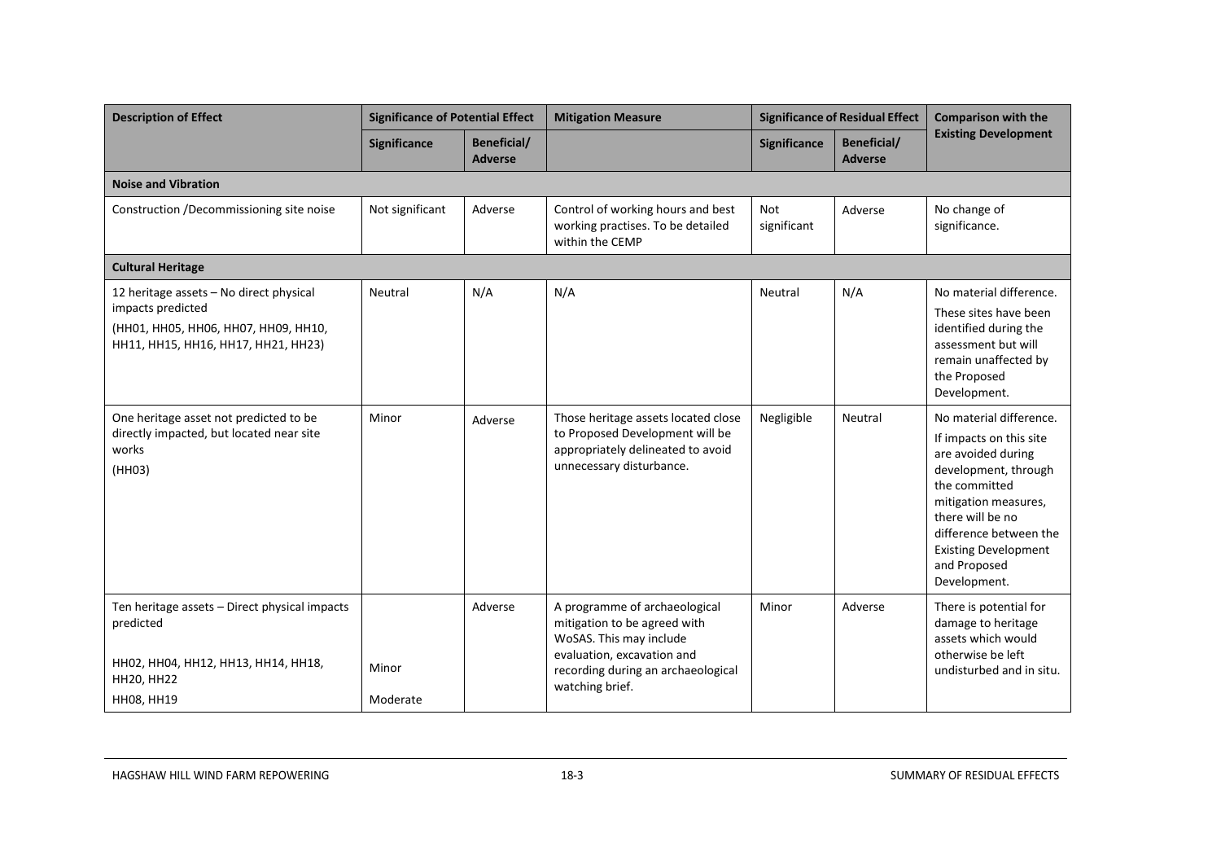| <b>Description of Effect</b>                                                                                                                | <b>Significance of Potential Effect</b> |                               | <b>Mitigation Measure</b>                                                                                                                                                       | <b>Significance of Residual Effect</b> |                               | <b>Comparison with the</b>                                                                                                                                                                                                                             |
|---------------------------------------------------------------------------------------------------------------------------------------------|-----------------------------------------|-------------------------------|---------------------------------------------------------------------------------------------------------------------------------------------------------------------------------|----------------------------------------|-------------------------------|--------------------------------------------------------------------------------------------------------------------------------------------------------------------------------------------------------------------------------------------------------|
|                                                                                                                                             | <b>Significance</b>                     | Beneficial/<br><b>Adverse</b> |                                                                                                                                                                                 | Significance                           | Beneficial/<br><b>Adverse</b> | <b>Existing Development</b>                                                                                                                                                                                                                            |
| <b>Noise and Vibration</b>                                                                                                                  |                                         |                               |                                                                                                                                                                                 |                                        |                               |                                                                                                                                                                                                                                                        |
| Construction /Decommissioning site noise                                                                                                    | Not significant                         | Adverse                       | Control of working hours and best<br>working practises. To be detailed<br>within the CEMP                                                                                       | Not<br>significant                     | Adverse                       | No change of<br>significance.                                                                                                                                                                                                                          |
| <b>Cultural Heritage</b>                                                                                                                    |                                         |                               |                                                                                                                                                                                 |                                        |                               |                                                                                                                                                                                                                                                        |
| 12 heritage assets - No direct physical<br>impacts predicted<br>(НН01, НН05, НН06, НН07, НН09, НН10,<br>HH11, HH15, HH16, HH17, HH21, HH23) | Neutral                                 | N/A                           | N/A                                                                                                                                                                             | Neutral                                | N/A                           | No material difference.<br>These sites have been<br>identified during the<br>assessment but will<br>remain unaffected by<br>the Proposed<br>Development.                                                                                               |
| One heritage asset not predicted to be<br>directly impacted, but located near site<br>works<br>(HH03)                                       | Minor                                   | Adverse                       | Those heritage assets located close<br>to Proposed Development will be<br>appropriately delineated to avoid<br>unnecessary disturbance.                                         | Negligible                             | Neutral                       | No material difference.<br>If impacts on this site<br>are avoided during<br>development, through<br>the committed<br>mitigation measures,<br>there will be no<br>difference between the<br><b>Existing Development</b><br>and Proposed<br>Development. |
| Ten heritage assets - Direct physical impacts<br>predicted<br>HH02, HH04, HH12, HH13, HH14, HH18,<br>HH20, HH22<br>HH08, HH19               | Minor<br>Moderate                       | Adverse                       | A programme of archaeological<br>mitigation to be agreed with<br>WoSAS. This may include<br>evaluation, excavation and<br>recording during an archaeological<br>watching brief. | Minor                                  | Adverse                       | There is potential for<br>damage to heritage<br>assets which would<br>otherwise be left<br>undisturbed and in situ.                                                                                                                                    |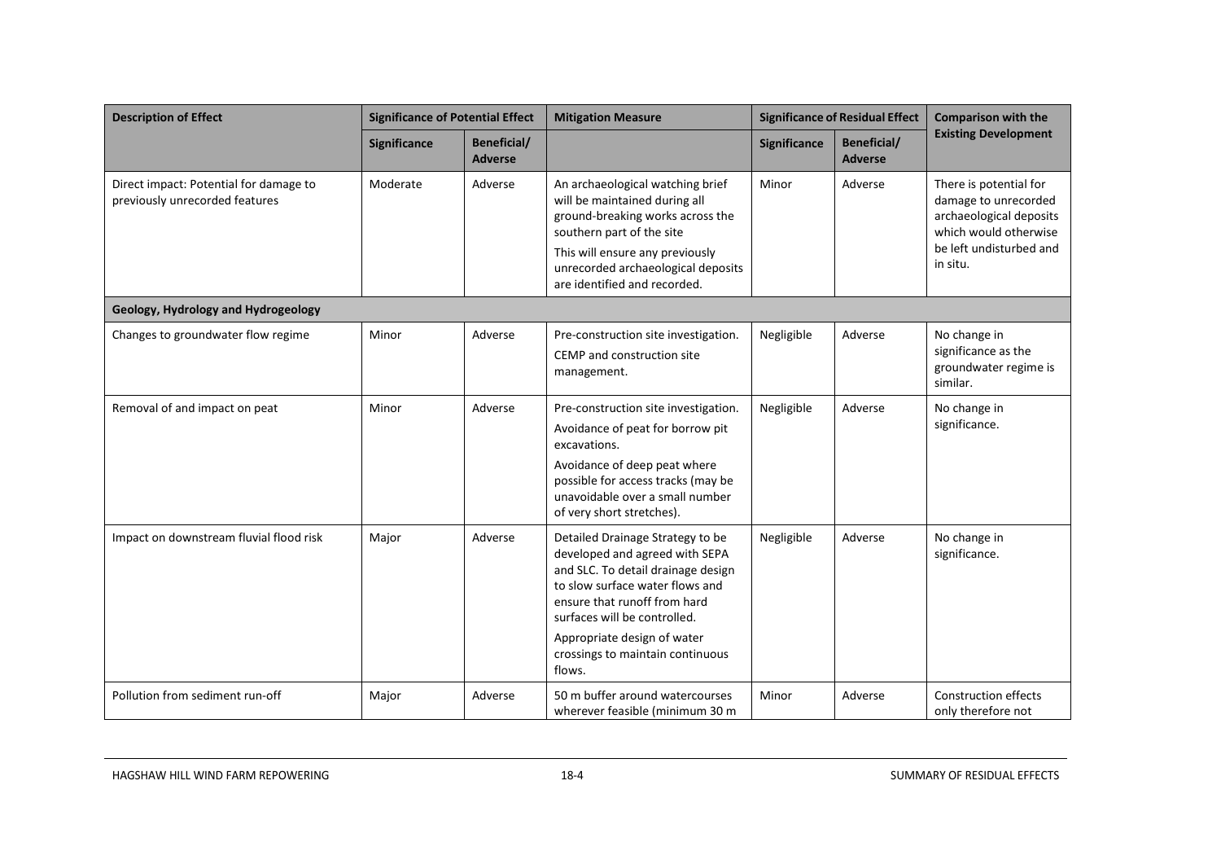| <b>Description of Effect</b>                                             | <b>Significance of Potential Effect</b> |                               | <b>Mitigation Measure</b>                                                                                                                                                                                                                                                                | <b>Significance of Residual Effect</b> |                               | <b>Comparison with the</b>                                                                                                                |
|--------------------------------------------------------------------------|-----------------------------------------|-------------------------------|------------------------------------------------------------------------------------------------------------------------------------------------------------------------------------------------------------------------------------------------------------------------------------------|----------------------------------------|-------------------------------|-------------------------------------------------------------------------------------------------------------------------------------------|
|                                                                          | Significance                            | Beneficial/<br><b>Adverse</b> |                                                                                                                                                                                                                                                                                          | Significance                           | Beneficial/<br><b>Adverse</b> | <b>Existing Development</b>                                                                                                               |
| Direct impact: Potential for damage to<br>previously unrecorded features | Moderate                                | Adverse                       | An archaeological watching brief<br>will be maintained during all<br>ground-breaking works across the<br>southern part of the site<br>This will ensure any previously<br>unrecorded archaeological deposits<br>are identified and recorded.                                              | Minor                                  | Adverse                       | There is potential for<br>damage to unrecorded<br>archaeological deposits<br>which would otherwise<br>be left undisturbed and<br>in situ. |
| Geology, Hydrology and Hydrogeology                                      |                                         |                               |                                                                                                                                                                                                                                                                                          |                                        |                               |                                                                                                                                           |
| Changes to groundwater flow regime                                       | Minor                                   | Adverse                       | Pre-construction site investigation.<br>CEMP and construction site<br>management.                                                                                                                                                                                                        | Negligible                             | Adverse                       | No change in<br>significance as the<br>groundwater regime is<br>similar.                                                                  |
| Removal of and impact on peat                                            | Minor                                   | Adverse                       | Pre-construction site investigation.<br>Avoidance of peat for borrow pit<br>excavations.<br>Avoidance of deep peat where<br>possible for access tracks (may be<br>unavoidable over a small number<br>of very short stretches).                                                           | Negligible                             | Adverse                       | No change in<br>significance.                                                                                                             |
| Impact on downstream fluvial flood risk                                  | Major                                   | Adverse                       | Detailed Drainage Strategy to be<br>developed and agreed with SEPA<br>and SLC. To detail drainage design<br>to slow surface water flows and<br>ensure that runoff from hard<br>surfaces will be controlled.<br>Appropriate design of water<br>crossings to maintain continuous<br>flows. | Negligible                             | Adverse                       | No change in<br>significance.                                                                                                             |
| Pollution from sediment run-off                                          | Major                                   | Adverse                       | 50 m buffer around watercourses<br>wherever feasible (minimum 30 m                                                                                                                                                                                                                       | Minor                                  | Adverse                       | <b>Construction effects</b><br>only therefore not                                                                                         |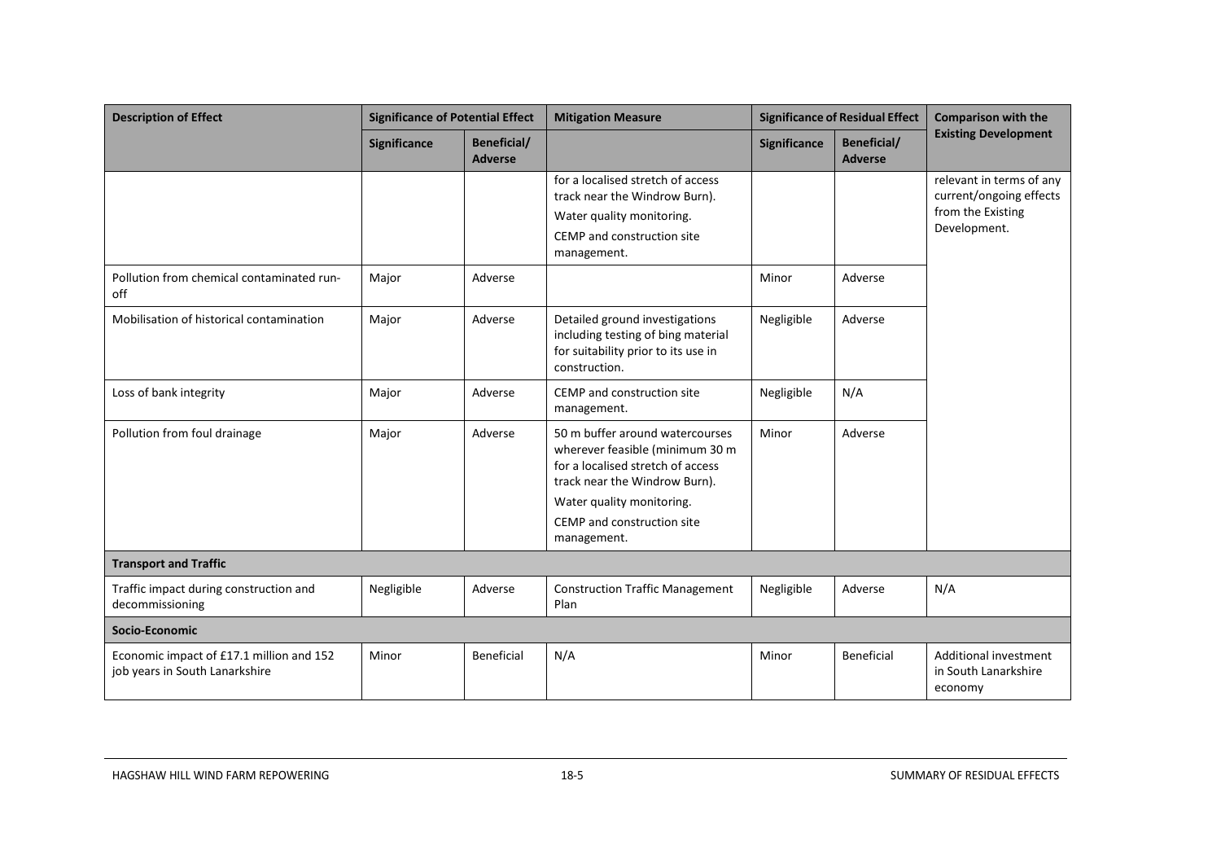| <b>Description of Effect</b>                                               | <b>Significance of Potential Effect</b> |                               | <b>Mitigation Measure</b>                                                                                                                                                                                          |              | <b>Significance of Residual Effect</b> | <b>Comparison with the</b>                                                               |
|----------------------------------------------------------------------------|-----------------------------------------|-------------------------------|--------------------------------------------------------------------------------------------------------------------------------------------------------------------------------------------------------------------|--------------|----------------------------------------|------------------------------------------------------------------------------------------|
|                                                                            | <b>Significance</b>                     | Beneficial/<br><b>Adverse</b> |                                                                                                                                                                                                                    | Significance | Beneficial/<br><b>Adverse</b>          | <b>Existing Development</b>                                                              |
|                                                                            |                                         |                               | for a localised stretch of access<br>track near the Windrow Burn).<br>Water quality monitoring.<br>CEMP and construction site<br>management.                                                                       |              |                                        | relevant in terms of any<br>current/ongoing effects<br>from the Existing<br>Development. |
| Pollution from chemical contaminated run-<br>off                           | Major                                   | Adverse                       |                                                                                                                                                                                                                    | Minor        | Adverse                                |                                                                                          |
| Mobilisation of historical contamination                                   | Major                                   | Adverse                       | Detailed ground investigations<br>including testing of bing material<br>for suitability prior to its use in<br>construction.                                                                                       | Negligible   | Adverse                                |                                                                                          |
| Loss of bank integrity                                                     | Major                                   | Adverse                       | CEMP and construction site<br>management.                                                                                                                                                                          | Negligible   | N/A                                    |                                                                                          |
| Pollution from foul drainage                                               | Major                                   | Adverse                       | 50 m buffer around watercourses<br>wherever feasible (minimum 30 m<br>for a localised stretch of access<br>track near the Windrow Burn).<br>Water quality monitoring.<br>CEMP and construction site<br>management. | Minor        | Adverse                                |                                                                                          |
| <b>Transport and Traffic</b>                                               |                                         |                               |                                                                                                                                                                                                                    |              |                                        |                                                                                          |
| Traffic impact during construction and<br>decommissioning                  | Negligible                              | Adverse                       | <b>Construction Traffic Management</b><br>Plan                                                                                                                                                                     | Negligible   | Adverse                                | N/A                                                                                      |
| Socio-Economic                                                             |                                         |                               |                                                                                                                                                                                                                    |              |                                        |                                                                                          |
| Economic impact of £17.1 million and 152<br>job years in South Lanarkshire | Minor                                   | Beneficial                    | N/A                                                                                                                                                                                                                | Minor        | <b>Beneficial</b>                      | Additional investment<br>in South Lanarkshire<br>economy                                 |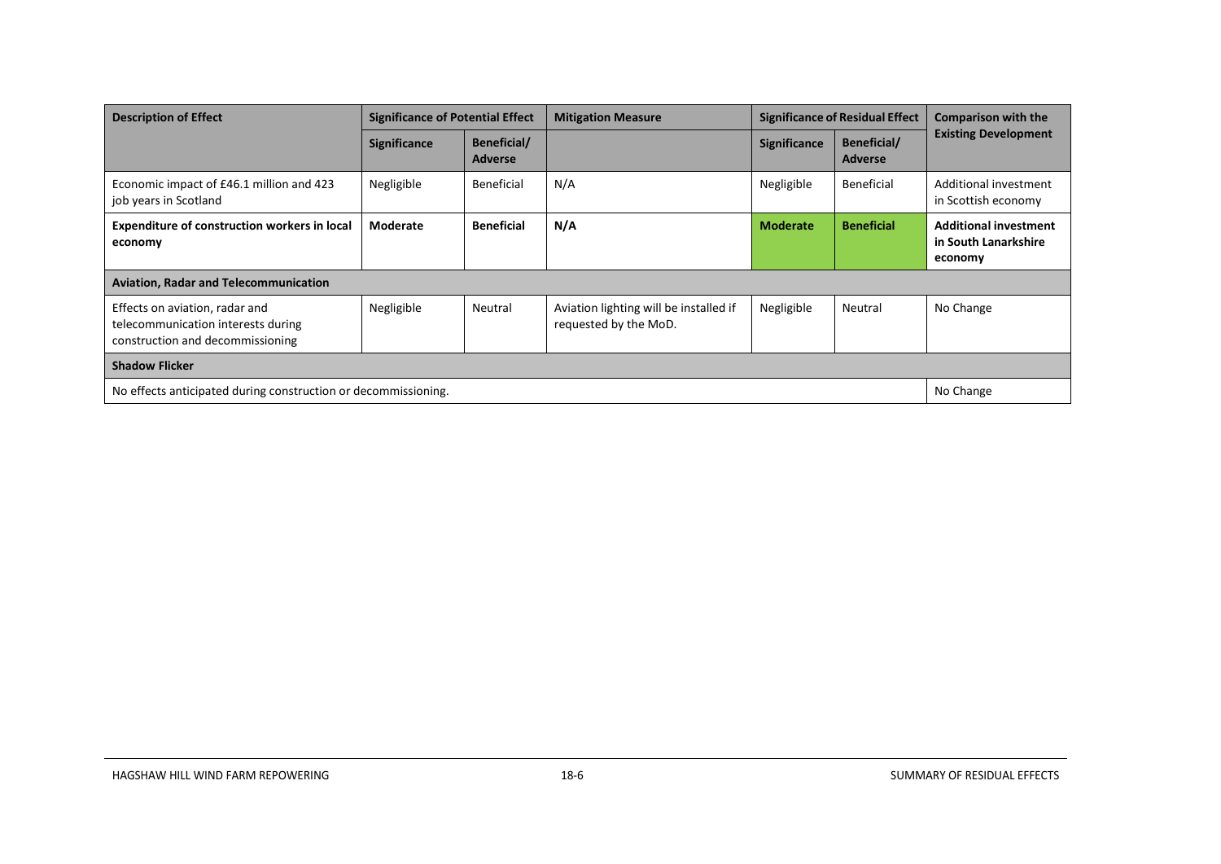| <b>Description of Effect</b>                                                                             | <b>Significance of Potential Effect</b> |                               | <b>Mitigation Measure</b>                                       | <b>Significance of Residual Effect</b> |                               | <b>Comparison with the</b>                                      |  |
|----------------------------------------------------------------------------------------------------------|-----------------------------------------|-------------------------------|-----------------------------------------------------------------|----------------------------------------|-------------------------------|-----------------------------------------------------------------|--|
|                                                                                                          | <b>Significance</b>                     | Beneficial/<br><b>Adverse</b> |                                                                 | <b>Significance</b>                    | Beneficial/<br><b>Adverse</b> | <b>Existing Development</b>                                     |  |
| Economic impact of £46.1 million and 423<br>job years in Scotland                                        | Negligible                              | <b>Beneficial</b>             | N/A                                                             | Negligible                             | Beneficial                    | Additional investment<br>in Scottish economy                    |  |
| Expenditure of construction workers in local<br>economy                                                  | <b>Moderate</b>                         | <b>Beneficial</b>             | N/A                                                             | <b>Moderate</b>                        | <b>Beneficial</b>             | <b>Additional investment</b><br>in South Lanarkshire<br>economy |  |
| <b>Aviation, Radar and Telecommunication</b>                                                             |                                         |                               |                                                                 |                                        |                               |                                                                 |  |
| Effects on aviation, radar and<br>telecommunication interests during<br>construction and decommissioning | Negligible                              | Neutral                       | Aviation lighting will be installed if<br>requested by the MoD. | Negligible                             | Neutral                       | No Change                                                       |  |
| <b>Shadow Flicker</b>                                                                                    |                                         |                               |                                                                 |                                        |                               |                                                                 |  |
| No effects anticipated during construction or decommissioning.                                           |                                         |                               |                                                                 |                                        |                               | No Change                                                       |  |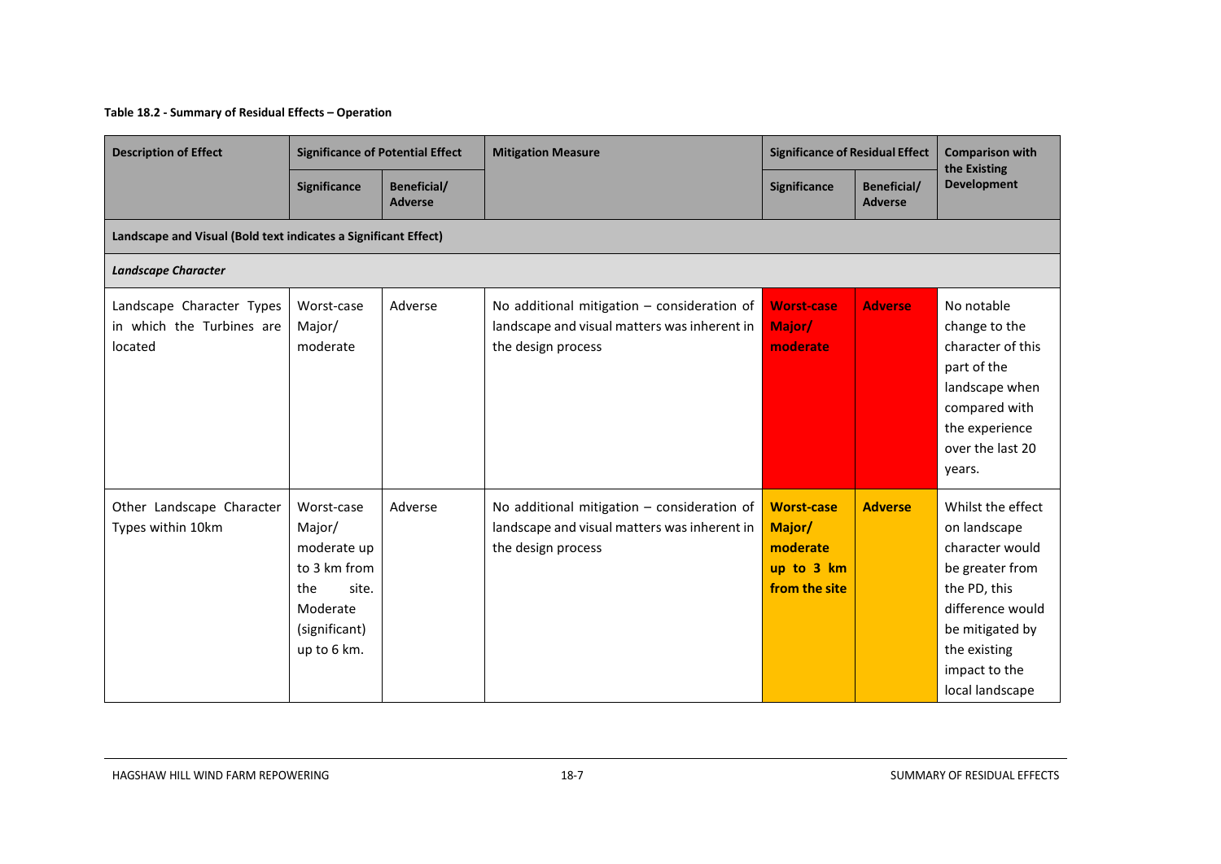### **Table 18.2 - Summary of Residual Effects – Operation**

<span id="page-8-0"></span>

| <b>Description of Effect</b>                                      | <b>Significance of Potential Effect</b>                                                                         |                               | <b>Mitigation Measure</b>                                                                                           | <b>Significance of Residual Effect</b>                                 |                               | <b>Comparison with</b><br>the Existing                                                                                                                                             |  |  |
|-------------------------------------------------------------------|-----------------------------------------------------------------------------------------------------------------|-------------------------------|---------------------------------------------------------------------------------------------------------------------|------------------------------------------------------------------------|-------------------------------|------------------------------------------------------------------------------------------------------------------------------------------------------------------------------------|--|--|
|                                                                   | Significance                                                                                                    | Beneficial/<br><b>Adverse</b> |                                                                                                                     | Significance                                                           | Beneficial/<br><b>Adverse</b> | <b>Development</b>                                                                                                                                                                 |  |  |
| Landscape and Visual (Bold text indicates a Significant Effect)   |                                                                                                                 |                               |                                                                                                                     |                                                                        |                               |                                                                                                                                                                                    |  |  |
| <b>Landscape Character</b>                                        |                                                                                                                 |                               |                                                                                                                     |                                                                        |                               |                                                                                                                                                                                    |  |  |
| Landscape Character Types<br>in which the Turbines are<br>located | Worst-case<br>Major/<br>moderate                                                                                | Adverse                       | No additional mitigation - consideration of<br>landscape and visual matters was inherent in<br>the design process   | <b>Worst-case</b><br>Major/<br>moderate                                | <b>Adverse</b>                | No notable<br>change to the<br>character of this<br>part of the<br>landscape when<br>compared with<br>the experience<br>over the last 20<br>years.                                 |  |  |
| Other Landscape Character<br>Types within 10km                    | Worst-case<br>Major/<br>moderate up<br>to 3 km from<br>the<br>site.<br>Moderate<br>(significant)<br>up to 6 km. | Adverse                       | No additional mitigation $-$ consideration of<br>landscape and visual matters was inherent in<br>the design process | <b>Worst-case</b><br>Major/<br>moderate<br>up to 3 km<br>from the site | <b>Adverse</b>                | Whilst the effect<br>on landscape<br>character would<br>be greater from<br>the PD, this<br>difference would<br>be mitigated by<br>the existing<br>impact to the<br>local landscape |  |  |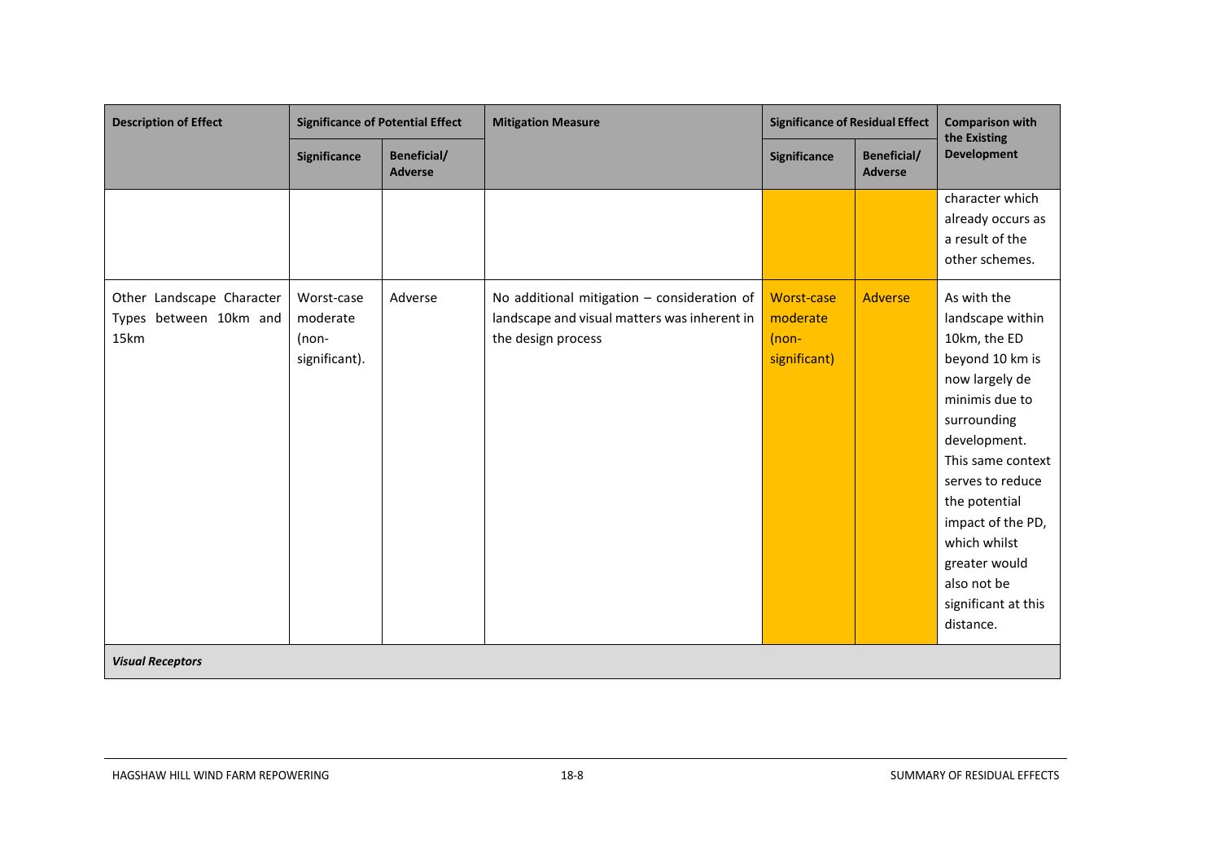| <b>Description of Effect</b>                                | <b>Significance of Potential Effect</b>          |                               | <b>Mitigation Measure</b>                                                                                           | <b>Significance of Residual Effect</b>            |                                      | <b>Comparison with</b><br>the Existing                                                                                                                                                                                                                                                                   |
|-------------------------------------------------------------|--------------------------------------------------|-------------------------------|---------------------------------------------------------------------------------------------------------------------|---------------------------------------------------|--------------------------------------|----------------------------------------------------------------------------------------------------------------------------------------------------------------------------------------------------------------------------------------------------------------------------------------------------------|
|                                                             | Significance                                     | Beneficial/<br><b>Adverse</b> |                                                                                                                     | Significance                                      | <b>Beneficial/</b><br><b>Adverse</b> | <b>Development</b>                                                                                                                                                                                                                                                                                       |
|                                                             |                                                  |                               |                                                                                                                     |                                                   |                                      | character which<br>already occurs as<br>a result of the<br>other schemes.                                                                                                                                                                                                                                |
| Other Landscape Character<br>Types between 10km and<br>15km | Worst-case<br>moderate<br>(non-<br>significant). | Adverse                       | No additional mitigation $-$ consideration of<br>landscape and visual matters was inherent in<br>the design process | Worst-case<br>moderate<br>$(non-$<br>significant) | Adverse                              | As with the<br>landscape within<br>10km, the ED<br>beyond 10 km is<br>now largely de<br>minimis due to<br>surrounding<br>development.<br>This same context<br>serves to reduce<br>the potential<br>impact of the PD,<br>which whilst<br>greater would<br>also not be<br>significant at this<br>distance. |
| <b>Visual Receptors</b>                                     |                                                  |                               |                                                                                                                     |                                                   |                                      |                                                                                                                                                                                                                                                                                                          |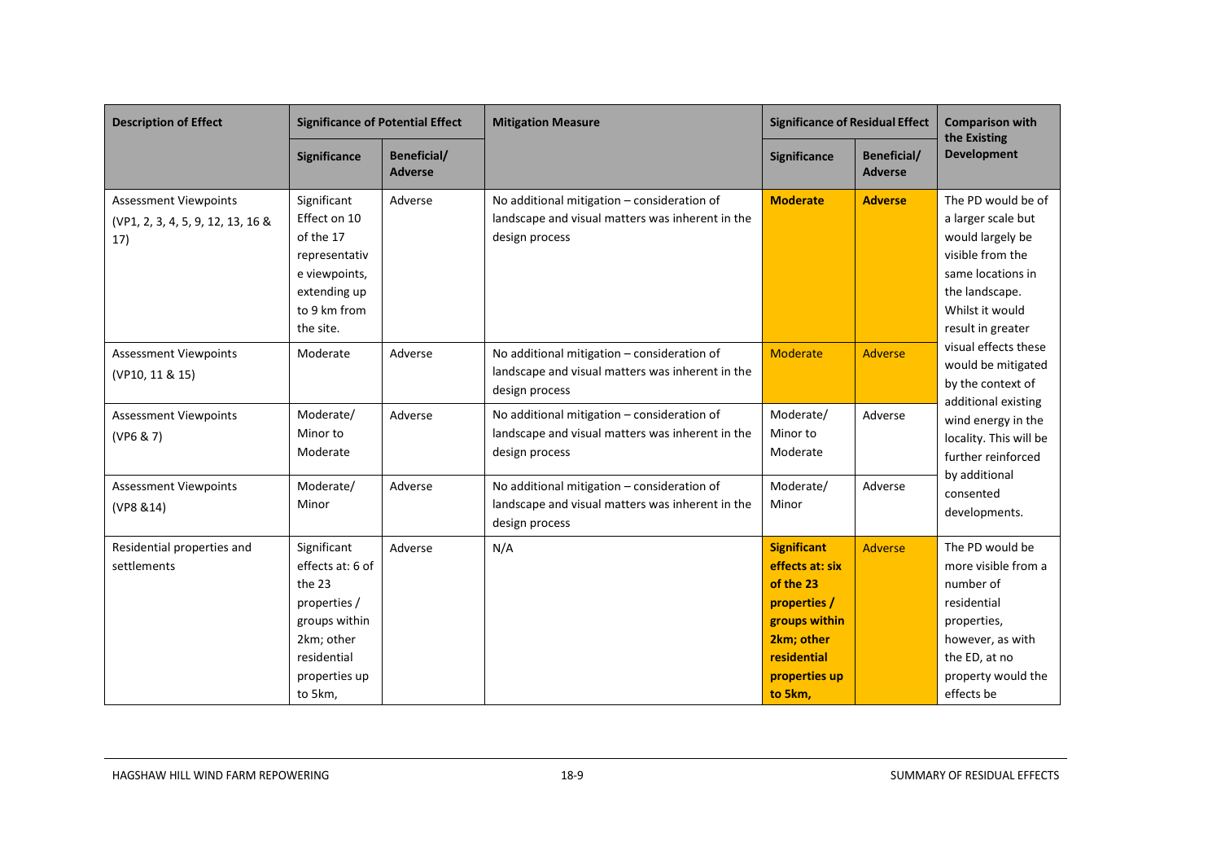| <b>Description of Effect</b>                                             | <b>Significance of Potential Effect</b>                                                                                             |                               | <b>Mitigation Measure</b>                                                                                         | <b>Significance of Residual Effect</b>                                                                                                       |                                      | <b>Comparison with</b><br>the Existing                                                                                                                                                                      |
|--------------------------------------------------------------------------|-------------------------------------------------------------------------------------------------------------------------------------|-------------------------------|-------------------------------------------------------------------------------------------------------------------|----------------------------------------------------------------------------------------------------------------------------------------------|--------------------------------------|-------------------------------------------------------------------------------------------------------------------------------------------------------------------------------------------------------------|
|                                                                          | <b>Significance</b>                                                                                                                 | Beneficial/<br><b>Adverse</b> |                                                                                                                   | Significance                                                                                                                                 | <b>Beneficial/</b><br><b>Adverse</b> | <b>Development</b>                                                                                                                                                                                          |
| <b>Assessment Viewpoints</b><br>(VP1, 2, 3, 4, 5, 9, 12, 13, 16 &<br>17) | Significant<br>Effect on 10<br>of the 17<br>representativ<br>e viewpoints,<br>extending up<br>to 9 km from<br>the site.             | Adverse                       | No additional mitigation - consideration of<br>landscape and visual matters was inherent in the<br>design process | <b>Moderate</b>                                                                                                                              | <b>Adverse</b>                       | The PD would be of<br>a larger scale but<br>would largely be<br>visible from the<br>same locations in<br>the landscape.<br>Whilst it would<br>result in greater                                             |
| <b>Assessment Viewpoints</b><br>(VP10, 11 & 15)                          | Moderate                                                                                                                            | Adverse                       | No additional mitigation - consideration of<br>landscape and visual matters was inherent in the<br>design process | <b>Moderate</b>                                                                                                                              | Adverse                              | visual effects these<br>would be mitigated<br>by the context of<br>additional existing<br>wind energy in the<br>locality. This will be<br>further reinforced<br>by additional<br>consented<br>developments. |
| <b>Assessment Viewpoints</b><br>(VP6 & 7)                                | Moderate/<br>Minor to<br>Moderate                                                                                                   | Adverse                       | No additional mitigation - consideration of<br>landscape and visual matters was inherent in the<br>design process | Moderate/<br>Minor to<br>Moderate                                                                                                            | Adverse                              |                                                                                                                                                                                                             |
| <b>Assessment Viewpoints</b><br>(VP8 & 14)                               | Moderate/<br>Minor                                                                                                                  | Adverse                       | No additional mitigation - consideration of<br>landscape and visual matters was inherent in the<br>design process | Moderate/<br>Minor                                                                                                                           | Adverse                              |                                                                                                                                                                                                             |
| Residential properties and<br>settlements                                | Significant<br>effects at: 6 of<br>the 23<br>properties /<br>groups within<br>2km; other<br>residential<br>properties up<br>to 5km, | Adverse                       | N/A                                                                                                               | <b>Significant</b><br>effects at: six<br>of the 23<br>properties /<br>groups within<br>2km; other<br>residential<br>properties up<br>to 5km, | Adverse                              | The PD would be<br>more visible from a<br>number of<br>residential<br>properties,<br>however, as with<br>the ED, at no<br>property would the<br>effects be                                                  |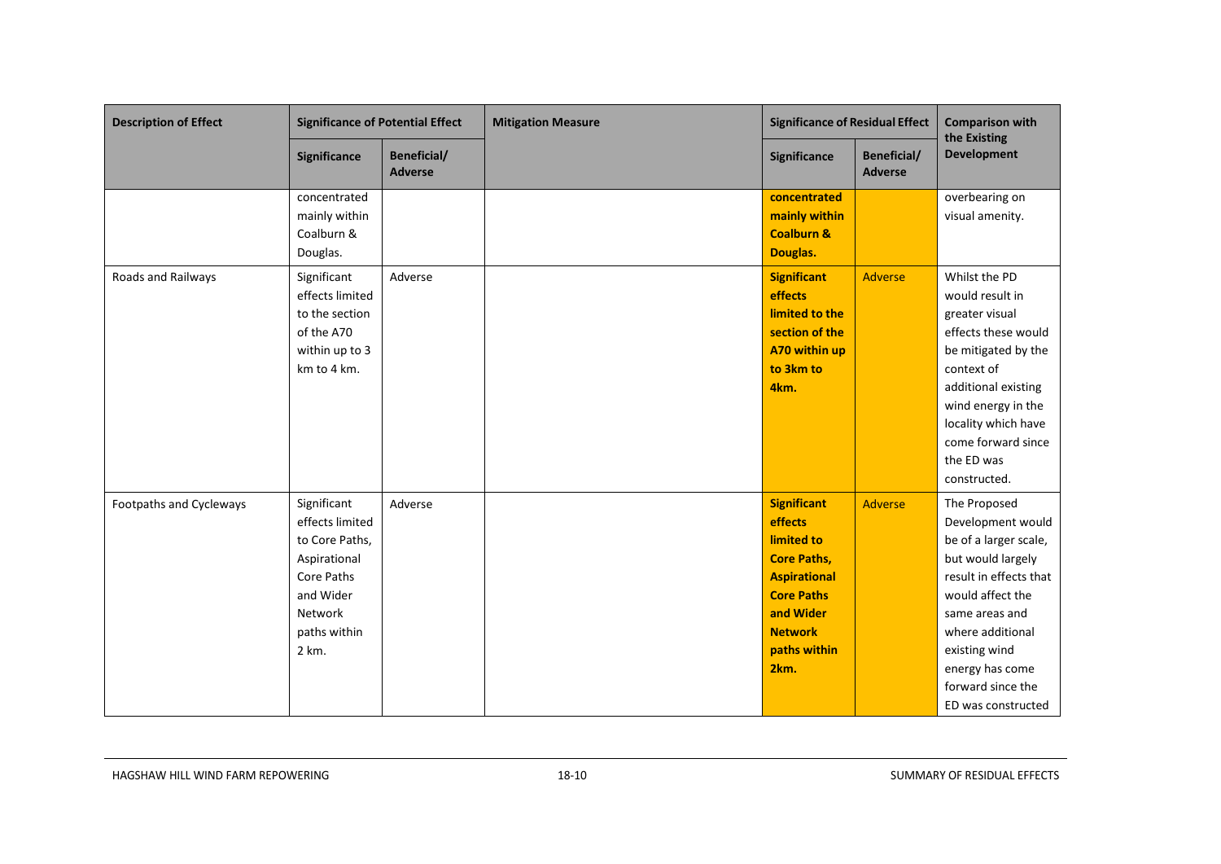| <b>Description of Effect</b> | <b>Significance of Potential Effect</b>                                                                                         |                               | <b>Mitigation Measure</b> | <b>Significance of Residual Effect</b>                                                                                                                               |                                      | <b>Comparison with</b><br>the Existing                                                                                                                                                                                                             |
|------------------------------|---------------------------------------------------------------------------------------------------------------------------------|-------------------------------|---------------------------|----------------------------------------------------------------------------------------------------------------------------------------------------------------------|--------------------------------------|----------------------------------------------------------------------------------------------------------------------------------------------------------------------------------------------------------------------------------------------------|
|                              | Significance                                                                                                                    | Beneficial/<br><b>Adverse</b> |                           | Significance                                                                                                                                                         | <b>Beneficial/</b><br><b>Adverse</b> | <b>Development</b>                                                                                                                                                                                                                                 |
|                              | concentrated<br>mainly within<br>Coalburn &<br>Douglas.                                                                         |                               |                           | concentrated<br>mainly within<br><b>Coalburn &amp;</b><br>Douglas.                                                                                                   |                                      | overbearing on<br>visual amenity.                                                                                                                                                                                                                  |
| Roads and Railways           | Significant<br>effects limited<br>to the section<br>of the A70<br>within up to 3<br>km to 4 km.                                 | Adverse                       |                           | <b>Significant</b><br>effects<br>limited to the<br>section of the<br>A70 within up<br>to 3km to<br>4km.                                                              | Adverse                              | Whilst the PD<br>would result in<br>greater visual<br>effects these would<br>be mitigated by the<br>context of<br>additional existing<br>wind energy in the<br>locality which have<br>come forward since<br>the ED was<br>constructed.             |
| Footpaths and Cycleways      | Significant<br>effects limited<br>to Core Paths,<br>Aspirational<br>Core Paths<br>and Wider<br>Network<br>paths within<br>2 km. | Adverse                       |                           | <b>Significant</b><br>effects<br>limited to<br><b>Core Paths,</b><br><b>Aspirational</b><br><b>Core Paths</b><br>and Wider<br><b>Network</b><br>paths within<br>2km. | Adverse                              | The Proposed<br>Development would<br>be of a larger scale,<br>but would largely<br>result in effects that<br>would affect the<br>same areas and<br>where additional<br>existing wind<br>energy has come<br>forward since the<br>ED was constructed |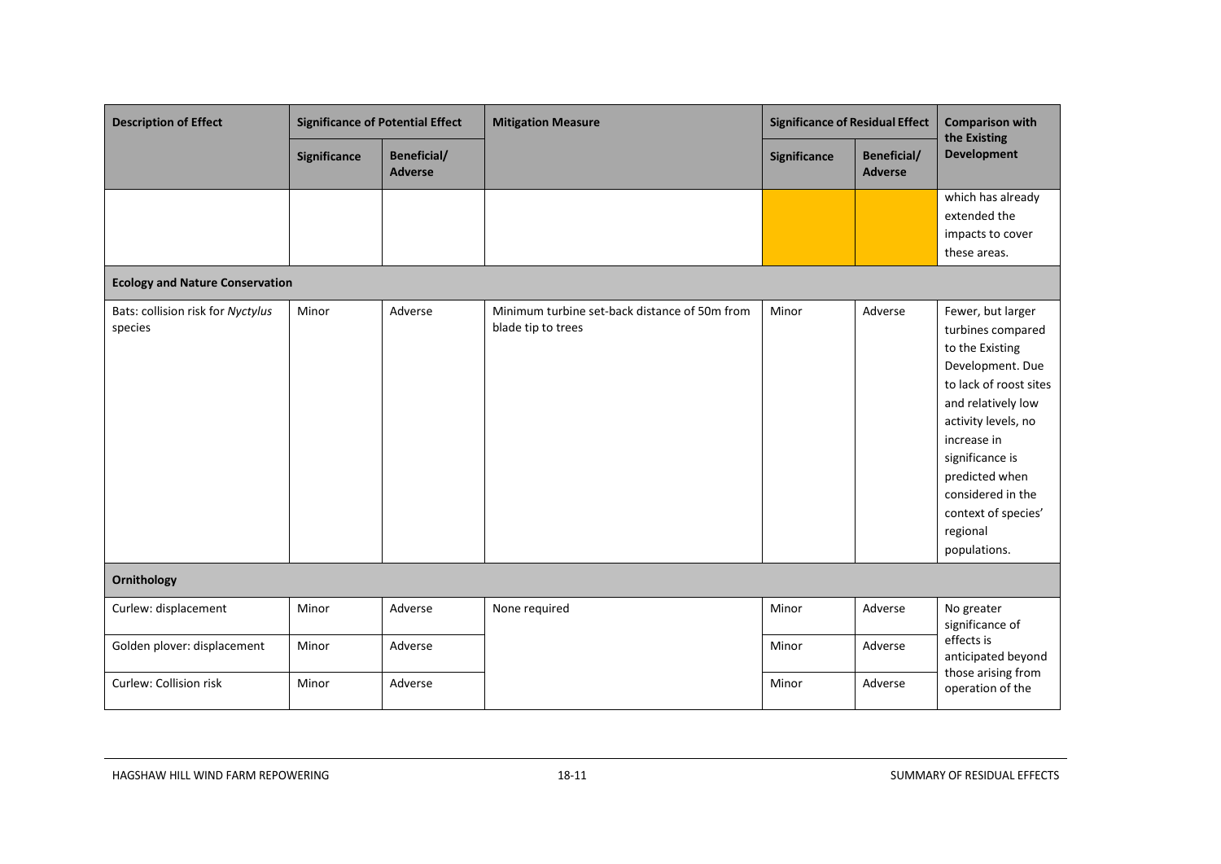| <b>Description of Effect</b>                 | <b>Significance of Potential Effect</b> |                               | <b>Mitigation Measure</b>                                           | <b>Significance of Residual Effect</b> |                                      | <b>Comparison with</b><br>the Existing                                                                                                                                                                                                                                           |
|----------------------------------------------|-----------------------------------------|-------------------------------|---------------------------------------------------------------------|----------------------------------------|--------------------------------------|----------------------------------------------------------------------------------------------------------------------------------------------------------------------------------------------------------------------------------------------------------------------------------|
|                                              | Significance                            | Beneficial/<br><b>Adverse</b> |                                                                     | Significance                           | <b>Beneficial/</b><br><b>Adverse</b> | <b>Development</b>                                                                                                                                                                                                                                                               |
|                                              |                                         |                               |                                                                     |                                        |                                      | which has already<br>extended the<br>impacts to cover<br>these areas.                                                                                                                                                                                                            |
| <b>Ecology and Nature Conservation</b>       |                                         |                               |                                                                     |                                        |                                      |                                                                                                                                                                                                                                                                                  |
| Bats: collision risk for Nyctylus<br>species | Minor                                   | Adverse                       | Minimum turbine set-back distance of 50m from<br>blade tip to trees | Minor                                  | Adverse                              | Fewer, but larger<br>turbines compared<br>to the Existing<br>Development. Due<br>to lack of roost sites<br>and relatively low<br>activity levels, no<br>increase in<br>significance is<br>predicted when<br>considered in the<br>context of species'<br>regional<br>populations. |
| Ornithology                                  |                                         |                               |                                                                     |                                        |                                      |                                                                                                                                                                                                                                                                                  |
| Curlew: displacement                         | Minor                                   | Adverse                       | None required                                                       | Minor                                  | Adverse                              | No greater<br>significance of                                                                                                                                                                                                                                                    |
| Golden plover: displacement                  | Minor                                   | Adverse                       |                                                                     | Minor                                  | Adverse                              | effects is<br>anticipated beyond<br>those arising from<br>operation of the                                                                                                                                                                                                       |
| Curlew: Collision risk                       | Minor                                   | Adverse                       |                                                                     | Minor                                  | Adverse                              |                                                                                                                                                                                                                                                                                  |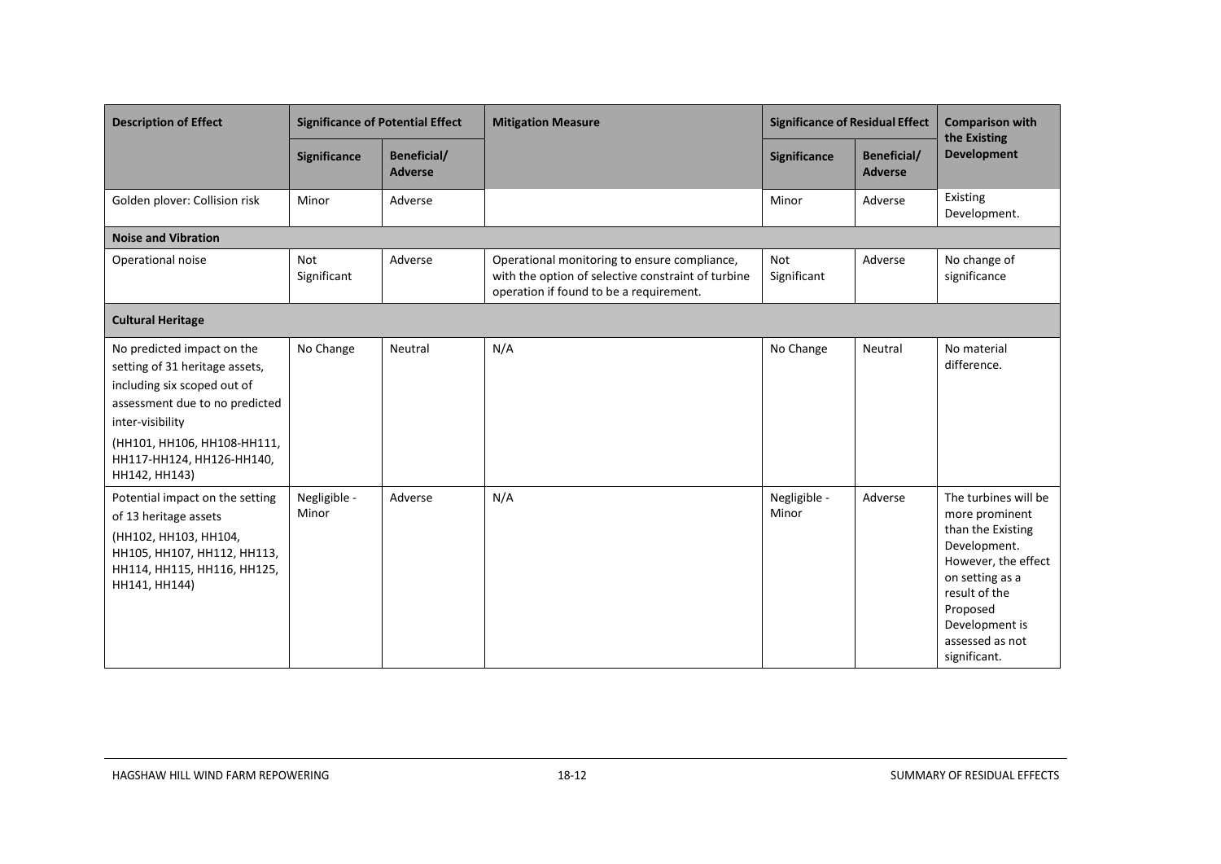| <b>Description of Effect</b>                                                                                                                                                                                                   | <b>Significance of Potential Effect</b> |                               | <b>Mitigation Measure</b>                                                                                                                     | <b>Significance of Residual Effect</b> |                                      | <b>Comparison with</b><br>the Existing                                                                                                                                                                  |  |  |
|--------------------------------------------------------------------------------------------------------------------------------------------------------------------------------------------------------------------------------|-----------------------------------------|-------------------------------|-----------------------------------------------------------------------------------------------------------------------------------------------|----------------------------------------|--------------------------------------|---------------------------------------------------------------------------------------------------------------------------------------------------------------------------------------------------------|--|--|
|                                                                                                                                                                                                                                | Significance                            | Beneficial/<br><b>Adverse</b> |                                                                                                                                               | <b>Significance</b>                    | <b>Beneficial/</b><br><b>Adverse</b> | <b>Development</b>                                                                                                                                                                                      |  |  |
| Golden plover: Collision risk                                                                                                                                                                                                  | Minor                                   | Adverse                       |                                                                                                                                               | Minor                                  | Adverse                              | Existing<br>Development.                                                                                                                                                                                |  |  |
| <b>Noise and Vibration</b>                                                                                                                                                                                                     |                                         |                               |                                                                                                                                               |                                        |                                      |                                                                                                                                                                                                         |  |  |
| Operational noise                                                                                                                                                                                                              | <b>Not</b><br>Significant               | Adverse                       | Operational monitoring to ensure compliance,<br>with the option of selective constraint of turbine<br>operation if found to be a requirement. | Not<br>Significant                     | Adverse                              | No change of<br>significance                                                                                                                                                                            |  |  |
| <b>Cultural Heritage</b>                                                                                                                                                                                                       |                                         |                               |                                                                                                                                               |                                        |                                      |                                                                                                                                                                                                         |  |  |
| No predicted impact on the<br>setting of 31 heritage assets,<br>including six scoped out of<br>assessment due to no predicted<br>inter-visibility<br>(HH101, HH106, HH108-HH111,<br>HH117-HH124, HH126-HH140,<br>HH142, HH143) | No Change                               | Neutral                       | N/A                                                                                                                                           | No Change                              | Neutral                              | No material<br>difference.                                                                                                                                                                              |  |  |
| Potential impact on the setting<br>of 13 heritage assets<br>(HH102, HH103, HH104,<br>HH105, HH107, HH112, HH113,<br>HH114, HH115, HH116, HH125,<br>HH141, HH144)                                                               | Negligible -<br>Minor                   | Adverse                       | N/A                                                                                                                                           | Negligible -<br>Minor                  | Adverse                              | The turbines will be<br>more prominent<br>than the Existing<br>Development.<br>However, the effect<br>on setting as a<br>result of the<br>Proposed<br>Development is<br>assessed as not<br>significant. |  |  |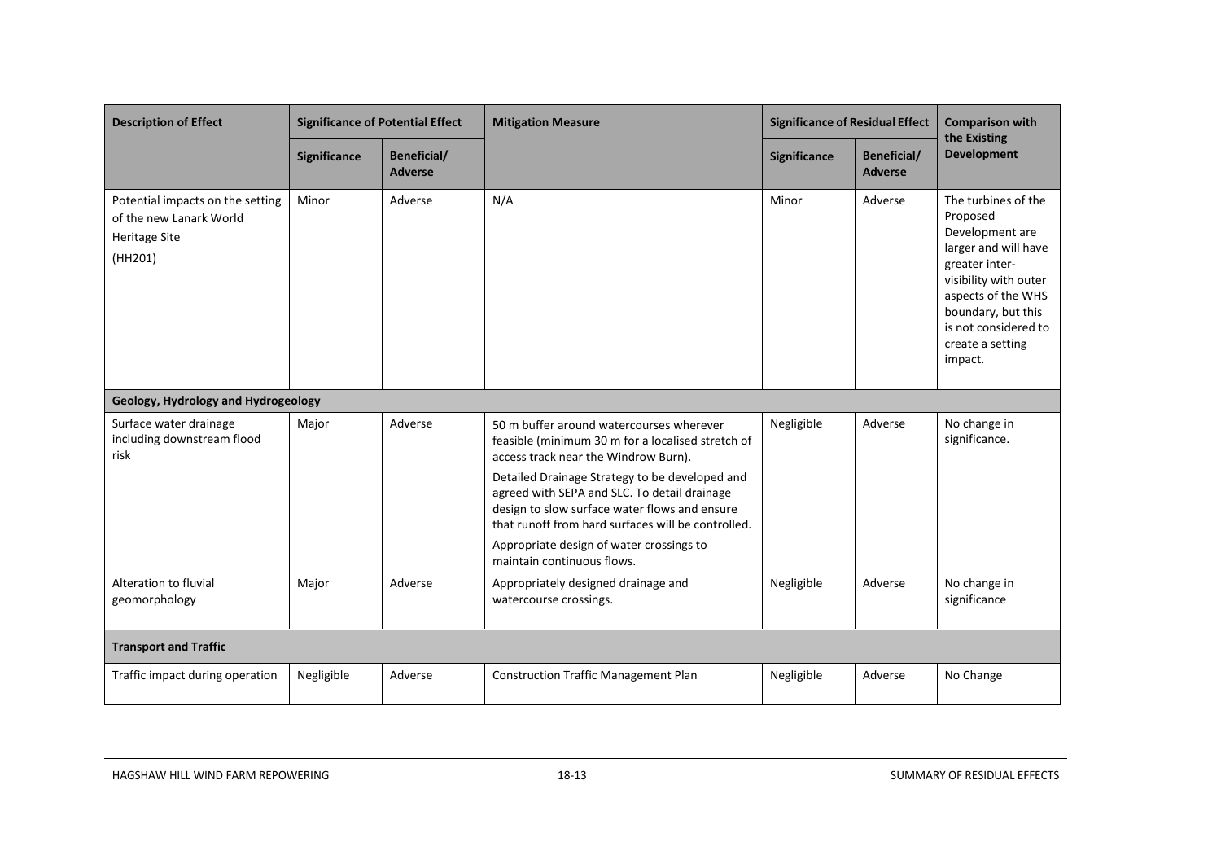| <b>Description of Effect</b><br><b>Significance of Potential Effect</b>                        |                     | <b>Mitigation Measure</b>     | <b>Significance of Residual Effect</b>                                                                                                                                                                                                                                                                                                                                                                                   |            | <b>Comparison with</b><br>the Existing |                                                                                                                                                                                                                          |  |
|------------------------------------------------------------------------------------------------|---------------------|-------------------------------|--------------------------------------------------------------------------------------------------------------------------------------------------------------------------------------------------------------------------------------------------------------------------------------------------------------------------------------------------------------------------------------------------------------------------|------------|----------------------------------------|--------------------------------------------------------------------------------------------------------------------------------------------------------------------------------------------------------------------------|--|
|                                                                                                | <b>Significance</b> | Beneficial/<br><b>Adverse</b> | Significance                                                                                                                                                                                                                                                                                                                                                                                                             |            | <b>Beneficial/</b><br><b>Adverse</b>   | <b>Development</b>                                                                                                                                                                                                       |  |
| Potential impacts on the setting<br>of the new Lanark World<br><b>Heritage Site</b><br>(HH201) | Minor               | Adverse                       | N/A                                                                                                                                                                                                                                                                                                                                                                                                                      | Minor      | Adverse                                | The turbines of the<br>Proposed<br>Development are<br>larger and will have<br>greater inter-<br>visibility with outer<br>aspects of the WHS<br>boundary, but this<br>is not considered to<br>create a setting<br>impact. |  |
| Geology, Hydrology and Hydrogeology                                                            |                     |                               |                                                                                                                                                                                                                                                                                                                                                                                                                          |            |                                        |                                                                                                                                                                                                                          |  |
| Surface water drainage<br>including downstream flood<br>risk                                   | Major               | Adverse                       | 50 m buffer around watercourses wherever<br>feasible (minimum 30 m for a localised stretch of<br>access track near the Windrow Burn).<br>Detailed Drainage Strategy to be developed and<br>agreed with SEPA and SLC. To detail drainage<br>design to slow surface water flows and ensure<br>that runoff from hard surfaces will be controlled.<br>Appropriate design of water crossings to<br>maintain continuous flows. | Negligible | Adverse                                | No change in<br>significance.                                                                                                                                                                                            |  |
| Alteration to fluvial<br>geomorphology                                                         | Major               | Adverse                       | Appropriately designed drainage and<br>watercourse crossings.                                                                                                                                                                                                                                                                                                                                                            | Negligible | Adverse                                | No change in<br>significance                                                                                                                                                                                             |  |
| <b>Transport and Traffic</b>                                                                   |                     |                               |                                                                                                                                                                                                                                                                                                                                                                                                                          |            |                                        |                                                                                                                                                                                                                          |  |
| Traffic impact during operation                                                                | Negligible          | Adverse                       | <b>Construction Traffic Management Plan</b>                                                                                                                                                                                                                                                                                                                                                                              | Negligible | Adverse                                | No Change                                                                                                                                                                                                                |  |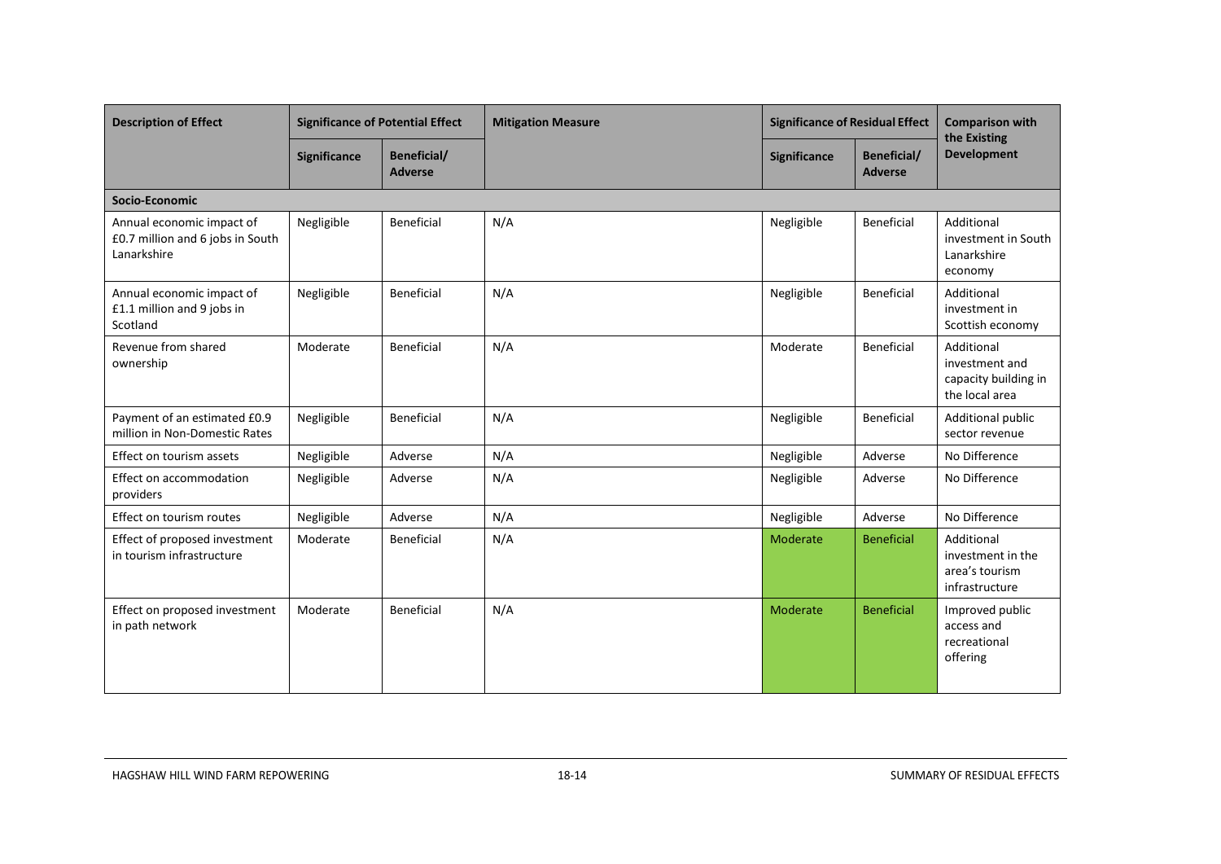| <b>Description of Effect</b>                                                 | <b>Significance of Potential Effect</b> |                               | <b>Mitigation Measure</b> | <b>Significance of Residual Effect</b> |                                      | <b>Comparison with</b><br>the Existing                                 |
|------------------------------------------------------------------------------|-----------------------------------------|-------------------------------|---------------------------|----------------------------------------|--------------------------------------|------------------------------------------------------------------------|
|                                                                              | <b>Significance</b>                     | Beneficial/<br><b>Adverse</b> |                           | Significance                           | <b>Beneficial/</b><br><b>Adverse</b> | <b>Development</b>                                                     |
| Socio-Economic                                                               |                                         |                               |                           |                                        |                                      |                                                                        |
| Annual economic impact of<br>£0.7 million and 6 jobs in South<br>Lanarkshire | Negligible                              | <b>Beneficial</b>             | N/A                       | Negligible                             | Beneficial                           | Additional<br>investment in South<br>Lanarkshire<br>economy            |
| Annual economic impact of<br>£1.1 million and 9 jobs in<br>Scotland          | Negligible                              | <b>Beneficial</b>             | N/A                       | Negligible                             | Beneficial                           | Additional<br>investment in<br>Scottish economy                        |
| Revenue from shared<br>ownership                                             | Moderate                                | Beneficial                    | N/A                       | Moderate                               | Beneficial                           | Additional<br>investment and<br>capacity building in<br>the local area |
| Payment of an estimated £0.9<br>million in Non-Domestic Rates                | Negligible                              | <b>Beneficial</b>             | N/A                       | Negligible                             | Beneficial                           | Additional public<br>sector revenue                                    |
| Effect on tourism assets                                                     | Negligible                              | Adverse                       | N/A                       | Negligible                             | Adverse                              | No Difference                                                          |
| Effect on accommodation<br>providers                                         | Negligible                              | Adverse                       | N/A                       | Negligible                             | Adverse                              | No Difference                                                          |
| Effect on tourism routes                                                     | Negligible                              | Adverse                       | N/A                       | Negligible                             | Adverse                              | No Difference                                                          |
| Effect of proposed investment<br>in tourism infrastructure                   | Moderate                                | <b>Beneficial</b>             | N/A                       | Moderate                               | <b>Beneficial</b>                    | Additional<br>investment in the<br>area's tourism<br>infrastructure    |
| Effect on proposed investment<br>in path network                             | Moderate                                | <b>Beneficial</b>             | N/A                       | Moderate                               | <b>Beneficial</b>                    | Improved public<br>access and<br>recreational<br>offering              |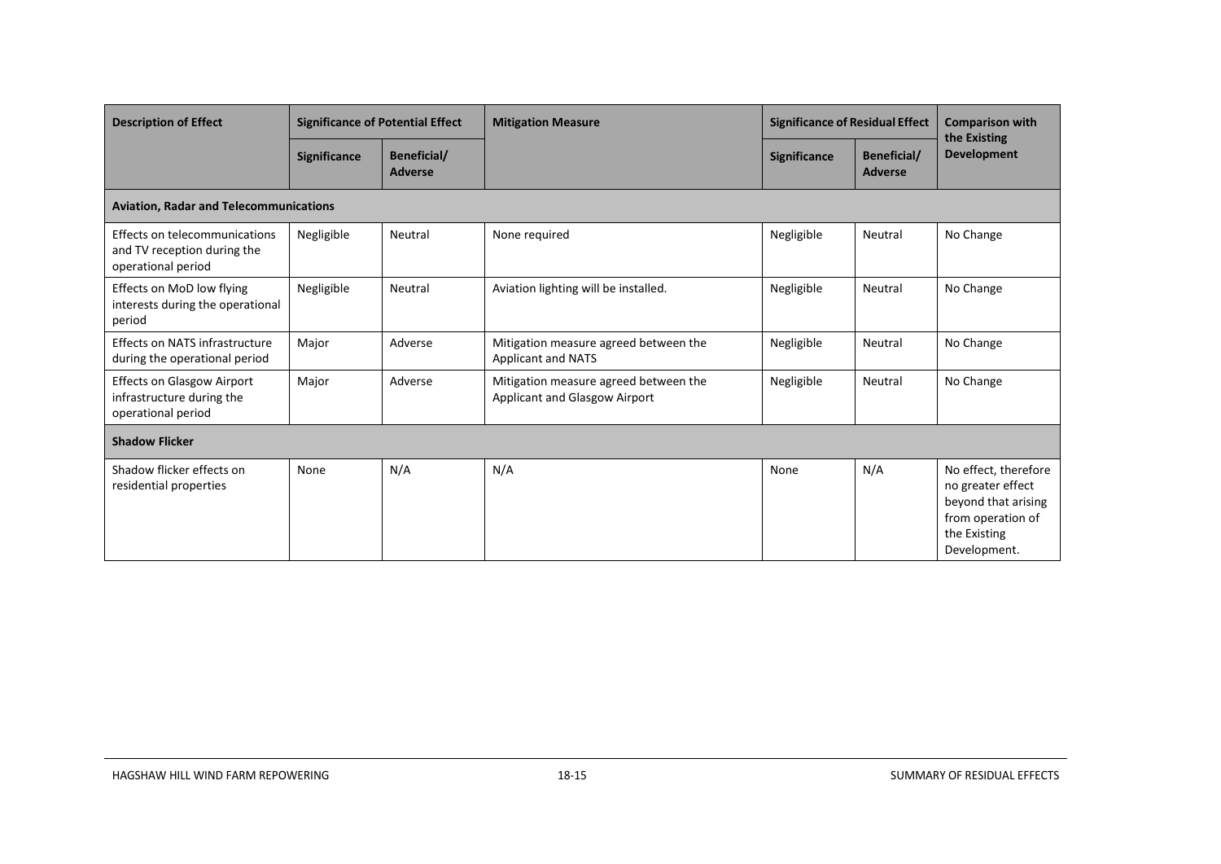| <b>Description of Effect</b>                                                         | <b>Significance of Potential Effect</b> |                               | <b>Mitigation Measure</b>                                                     | <b>Significance of Residual Effect</b> |                               | <b>Comparison with</b>                                                                                                |  |
|--------------------------------------------------------------------------------------|-----------------------------------------|-------------------------------|-------------------------------------------------------------------------------|----------------------------------------|-------------------------------|-----------------------------------------------------------------------------------------------------------------------|--|
|                                                                                      | <b>Significance</b>                     | Beneficial/<br><b>Adverse</b> |                                                                               | Significance                           | Beneficial/<br><b>Adverse</b> | the Existing<br><b>Development</b>                                                                                    |  |
| <b>Aviation, Radar and Telecommunications</b>                                        |                                         |                               |                                                                               |                                        |                               |                                                                                                                       |  |
| Effects on telecommunications<br>and TV reception during the<br>operational period   | Negligible                              | Neutral                       | None required                                                                 | Negligible                             | Neutral                       | No Change                                                                                                             |  |
| Effects on MoD low flying<br>interests during the operational<br>period              | Negligible                              | Neutral                       | Aviation lighting will be installed.                                          | Negligible                             | Neutral                       | No Change                                                                                                             |  |
| Effects on NATS infrastructure<br>during the operational period                      | Major                                   | Adverse                       | Mitigation measure agreed between the<br><b>Applicant and NATS</b>            | Negligible                             | Neutral                       | No Change                                                                                                             |  |
| <b>Effects on Glasgow Airport</b><br>infrastructure during the<br>operational period | Major                                   | Adverse                       | Mitigation measure agreed between the<br><b>Applicant and Glasgow Airport</b> | Negligible                             | Neutral                       | No Change                                                                                                             |  |
| <b>Shadow Flicker</b>                                                                |                                         |                               |                                                                               |                                        |                               |                                                                                                                       |  |
| Shadow flicker effects on<br>residential properties                                  | None                                    | N/A                           | N/A                                                                           | None                                   | N/A                           | No effect, therefore<br>no greater effect<br>beyond that arising<br>from operation of<br>the Existing<br>Development. |  |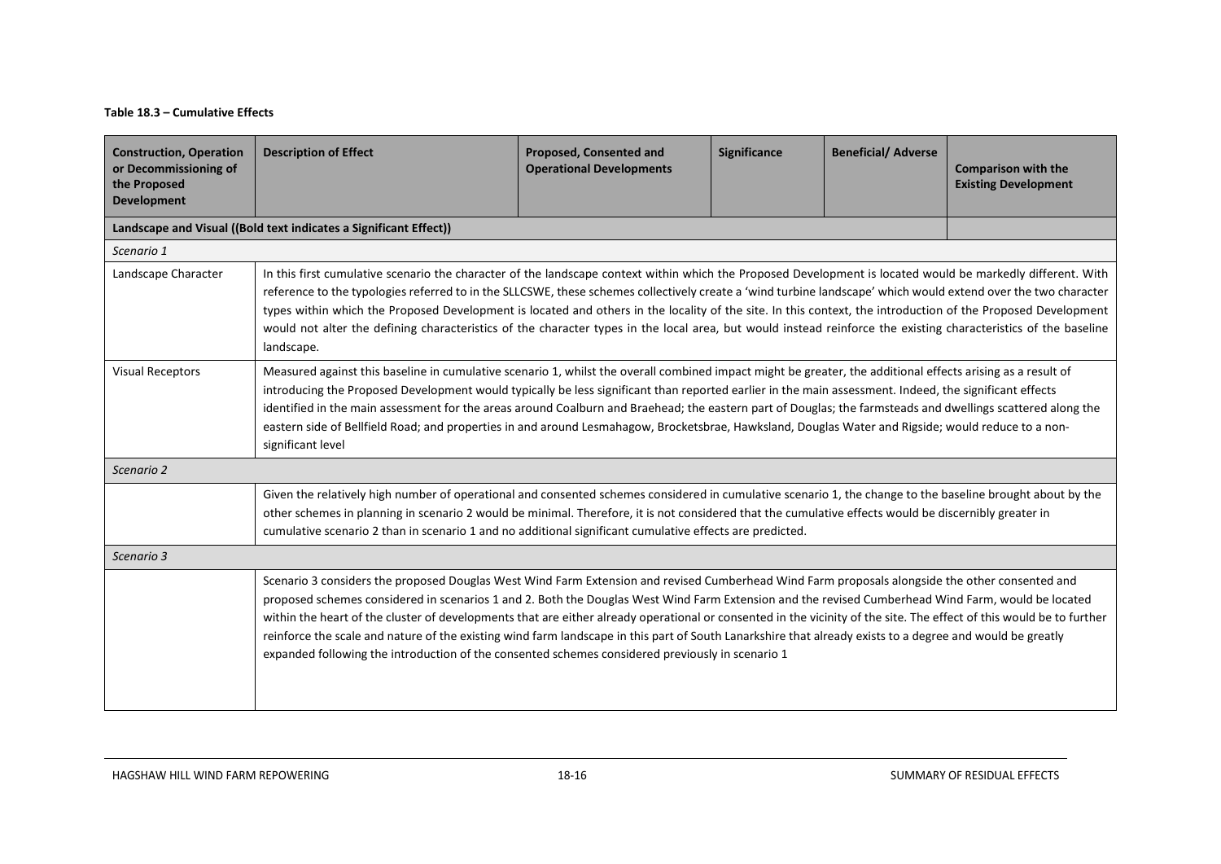#### **Table 18.3 – Cumulative Effects**

<span id="page-17-0"></span>

| <b>Construction, Operation</b><br>or Decommissioning of<br>the Proposed<br><b>Development</b> | <b>Description of Effect</b>                                                                                                                                                                                                                                                                                                                                                                                                                                                                                                                                                                                                                                                                                                                   | Proposed, Consented and<br><b>Operational Developments</b> | Significance | <b>Beneficial/ Adverse</b> | <b>Comparison with the</b><br><b>Existing Development</b> |  |  |  |
|-----------------------------------------------------------------------------------------------|------------------------------------------------------------------------------------------------------------------------------------------------------------------------------------------------------------------------------------------------------------------------------------------------------------------------------------------------------------------------------------------------------------------------------------------------------------------------------------------------------------------------------------------------------------------------------------------------------------------------------------------------------------------------------------------------------------------------------------------------|------------------------------------------------------------|--------------|----------------------------|-----------------------------------------------------------|--|--|--|
| Landscape and Visual ((Bold text indicates a Significant Effect))                             |                                                                                                                                                                                                                                                                                                                                                                                                                                                                                                                                                                                                                                                                                                                                                |                                                            |              |                            |                                                           |  |  |  |
| Scenario 1                                                                                    |                                                                                                                                                                                                                                                                                                                                                                                                                                                                                                                                                                                                                                                                                                                                                |                                                            |              |                            |                                                           |  |  |  |
| Landscape Character                                                                           | In this first cumulative scenario the character of the landscape context within which the Proposed Development is located would be markedly different. With<br>reference to the typologies referred to in the SLLCSWE, these schemes collectively create a 'wind turbine landscape' which would extend over the two character<br>types within which the Proposed Development is located and others in the locality of the site. In this context, the introduction of the Proposed Development<br>would not alter the defining characteristics of the character types in the local area, but would instead reinforce the existing characteristics of the baseline<br>landscape.                                                                 |                                                            |              |                            |                                                           |  |  |  |
| <b>Visual Receptors</b>                                                                       | Measured against this baseline in cumulative scenario 1, whilst the overall combined impact might be greater, the additional effects arising as a result of<br>introducing the Proposed Development would typically be less significant than reported earlier in the main assessment. Indeed, the significant effects<br>identified in the main assessment for the areas around Coalburn and Braehead; the eastern part of Douglas; the farmsteads and dwellings scattered along the<br>eastern side of Bellfield Road; and properties in and around Lesmahagow, Brocketsbrae, Hawksland, Douglas Water and Rigside; would reduce to a non-<br>significant level                                                                               |                                                            |              |                            |                                                           |  |  |  |
| Scenario 2                                                                                    |                                                                                                                                                                                                                                                                                                                                                                                                                                                                                                                                                                                                                                                                                                                                                |                                                            |              |                            |                                                           |  |  |  |
|                                                                                               | Given the relatively high number of operational and consented schemes considered in cumulative scenario 1, the change to the baseline brought about by the<br>other schemes in planning in scenario 2 would be minimal. Therefore, it is not considered that the cumulative effects would be discernibly greater in<br>cumulative scenario 2 than in scenario 1 and no additional significant cumulative effects are predicted.                                                                                                                                                                                                                                                                                                                |                                                            |              |                            |                                                           |  |  |  |
| Scenario 3                                                                                    |                                                                                                                                                                                                                                                                                                                                                                                                                                                                                                                                                                                                                                                                                                                                                |                                                            |              |                            |                                                           |  |  |  |
|                                                                                               | Scenario 3 considers the proposed Douglas West Wind Farm Extension and revised Cumberhead Wind Farm proposals alongside the other consented and<br>proposed schemes considered in scenarios 1 and 2. Both the Douglas West Wind Farm Extension and the revised Cumberhead Wind Farm, would be located<br>within the heart of the cluster of developments that are either already operational or consented in the vicinity of the site. The effect of this would be to further<br>reinforce the scale and nature of the existing wind farm landscape in this part of South Lanarkshire that already exists to a degree and would be greatly<br>expanded following the introduction of the consented schemes considered previously in scenario 1 |                                                            |              |                            |                                                           |  |  |  |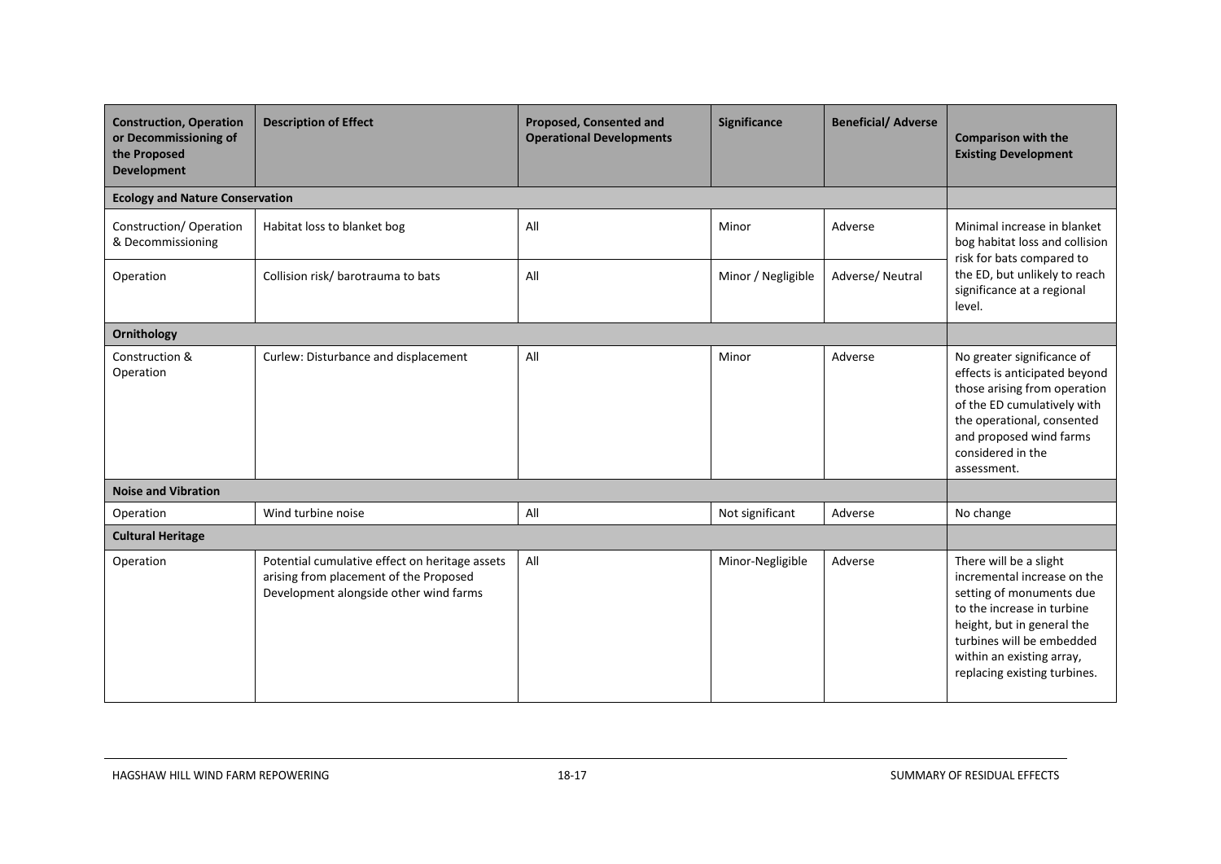| <b>Construction, Operation</b><br>or Decommissioning of<br>the Proposed<br><b>Development</b> | <b>Description of Effect</b>                                                                                                       | Proposed, Consented and<br><b>Operational Developments</b> | <b>Significance</b> | <b>Beneficial/ Adverse</b> | <b>Comparison with the</b><br><b>Existing Development</b>                                                                                                                                                                               |  |
|-----------------------------------------------------------------------------------------------|------------------------------------------------------------------------------------------------------------------------------------|------------------------------------------------------------|---------------------|----------------------------|-----------------------------------------------------------------------------------------------------------------------------------------------------------------------------------------------------------------------------------------|--|
| <b>Ecology and Nature Conservation</b>                                                        |                                                                                                                                    |                                                            |                     |                            |                                                                                                                                                                                                                                         |  |
| Construction/Operation<br>& Decommissioning                                                   | Habitat loss to blanket bog                                                                                                        | All                                                        | Minor               | Adverse                    | Minimal increase in blanket<br>bog habitat loss and collision<br>risk for bats compared to<br>the ED, but unlikely to reach<br>significance at a regional<br>level.                                                                     |  |
| Operation                                                                                     | Collision risk/ barotrauma to bats                                                                                                 | All                                                        | Minor / Negligible  | Adverse/Neutral            |                                                                                                                                                                                                                                         |  |
| Ornithology                                                                                   |                                                                                                                                    |                                                            |                     |                            |                                                                                                                                                                                                                                         |  |
| Construction &<br>Operation                                                                   | Curlew: Disturbance and displacement                                                                                               | All                                                        | Minor               | Adverse                    | No greater significance of<br>effects is anticipated beyond<br>those arising from operation<br>of the ED cumulatively with<br>the operational, consented<br>and proposed wind farms<br>considered in the<br>assessment.                 |  |
| <b>Noise and Vibration</b>                                                                    |                                                                                                                                    |                                                            |                     |                            |                                                                                                                                                                                                                                         |  |
| Operation                                                                                     | Wind turbine noise                                                                                                                 | All                                                        | Not significant     | Adverse                    | No change                                                                                                                                                                                                                               |  |
| <b>Cultural Heritage</b>                                                                      |                                                                                                                                    |                                                            |                     |                            |                                                                                                                                                                                                                                         |  |
| Operation                                                                                     | Potential cumulative effect on heritage assets<br>arising from placement of the Proposed<br>Development alongside other wind farms | All                                                        | Minor-Negligible    | Adverse                    | There will be a slight<br>incremental increase on the<br>setting of monuments due<br>to the increase in turbine<br>height, but in general the<br>turbines will be embedded<br>within an existing array,<br>replacing existing turbines. |  |